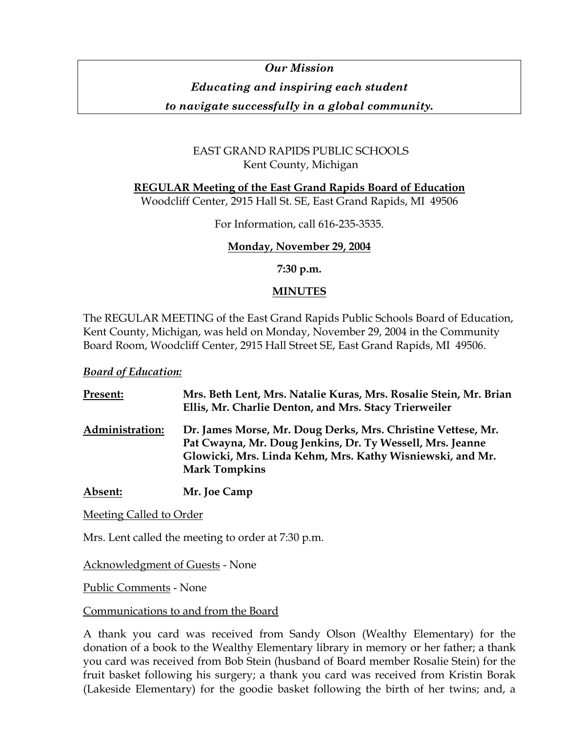# *Our Mission Educating and inspiring each student*

*to navigate successfully in a global community.* 

# EAST GRAND RAPIDS PUBLIC SCHOOLS Kent County, Michigan

**REGULAR Meeting of the East Grand Rapids Board of Education**

Woodcliff Center, 2915 Hall St. SE, East Grand Rapids, MI 49506

For Information, call 616-235-3535.

# **Monday, November 29, 2004**

**7:30 p.m.** 

# **MINUTES**

The REGULAR MEETING of the East Grand Rapids Public Schools Board of Education, Kent County, Michigan, was held on Monday, November 29, 2004 in the Community Board Room, Woodcliff Center, 2915 Hall Street SE, East Grand Rapids, MI 49506.

# *Board of Education:*

| <b>Present:</b> | Mrs. Beth Lent, Mrs. Natalie Kuras, Mrs. Rosalie Stein, Mr. Brian<br>Ellis, Mr. Charlie Denton, and Mrs. Stacy Trierweiler                                                                                     |
|-----------------|----------------------------------------------------------------------------------------------------------------------------------------------------------------------------------------------------------------|
| Administration: | Dr. James Morse, Mr. Doug Derks, Mrs. Christine Vettese, Mr.<br>Pat Cwayna, Mr. Doug Jenkins, Dr. Ty Wessell, Mrs. Jeanne<br>Glowicki, Mrs. Linda Kehm, Mrs. Kathy Wisniewski, and Mr.<br><b>Mark Tompkins</b> |
|                 |                                                                                                                                                                                                                |

**Absent: Mr. Joe Camp**

Meeting Called to Order

Mrs. Lent called the meeting to order at 7:30 p.m.

Acknowledgment of Guests - None

Public Comments - None

# Communications to and from the Board

A thank you card was received from Sandy Olson (Wealthy Elementary) for the donation of a book to the Wealthy Elementary library in memory or her father; a thank you card was received from Bob Stein (husband of Board member Rosalie Stein) for the fruit basket following his surgery; a thank you card was received from Kristin Borak (Lakeside Elementary) for the goodie basket following the birth of her twins; and, a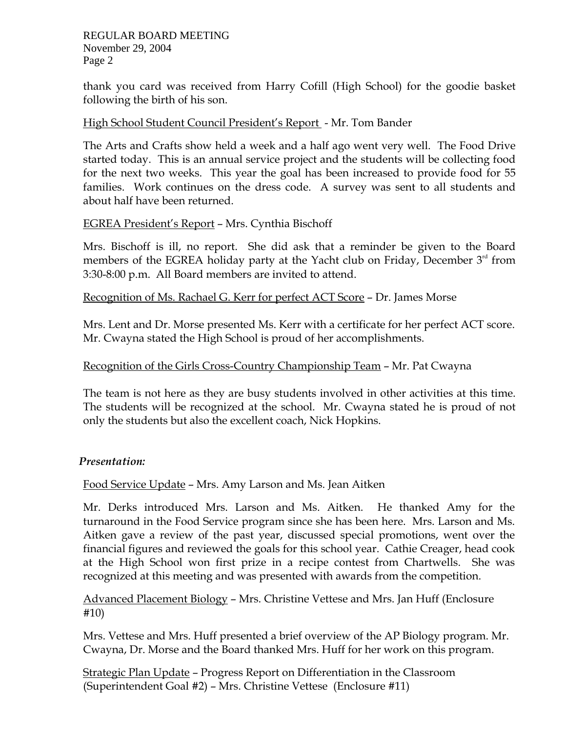thank you card was received from Harry Cofill (High School) for the goodie basket following the birth of his son.

## High School Student Council President's Report - Mr. Tom Bander

The Arts and Crafts show held a week and a half ago went very well. The Food Drive started today. This is an annual service project and the students will be collecting food for the next two weeks. This year the goal has been increased to provide food for 55 families. Work continues on the dress code. A survey was sent to all students and about half have been returned.

# EGREA President's Report – Mrs. Cynthia Bischoff

Mrs. Bischoff is ill, no report. She did ask that a reminder be given to the Board members of the EGREA holiday party at the Yacht club on Friday, December 3<sup>rd</sup> from 3:30-8:00 p.m. All Board members are invited to attend.

## Recognition of Ms. Rachael G. Kerr for perfect ACT Score – Dr. James Morse

Mrs. Lent and Dr. Morse presented Ms. Kerr with a certificate for her perfect ACT score. Mr. Cwayna stated the High School is proud of her accomplishments.

# Recognition of the Girls Cross-Country Championship Team – Mr. Pat Cwayna

The team is not here as they are busy students involved in other activities at this time. The students will be recognized at the school. Mr. Cwayna stated he is proud of not only the students but also the excellent coach, Nick Hopkins.

## *Presentation:*

Food Service Update – Mrs. Amy Larson and Ms. Jean Aitken

Mr. Derks introduced Mrs. Larson and Ms. Aitken. He thanked Amy for the turnaround in the Food Service program since she has been here. Mrs. Larson and Ms. Aitken gave a review of the past year, discussed special promotions, went over the financial figures and reviewed the goals for this school year. Cathie Creager, head cook at the High School won first prize in a recipe contest from Chartwells. She was recognized at this meeting and was presented with awards from the competition.

Advanced Placement Biology – Mrs. Christine Vettese and Mrs. Jan Huff (Enclosure #10)

Mrs. Vettese and Mrs. Huff presented a brief overview of the AP Biology program. Mr. Cwayna, Dr. Morse and the Board thanked Mrs. Huff for her work on this program.

Strategic Plan Update – Progress Report on Differentiation in the Classroom (Superintendent Goal #2) – Mrs. Christine Vettese (Enclosure #11)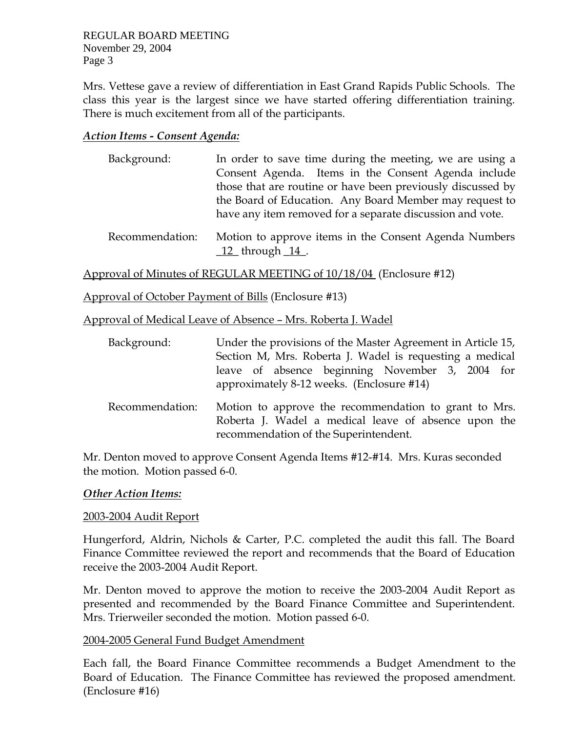Mrs. Vettese gave a review of differentiation in East Grand Rapids Public Schools. The class this year is the largest since we have started offering differentiation training. There is much excitement from all of the participants.

## *Action Items - Consent Agenda:*

- Background: In order to save time during the meeting, we are using a Consent Agenda. Items in the Consent Agenda include those that are routine or have been previously discussed by the Board of Education. Any Board Member may request to have any item removed for a separate discussion and vote.
- Recommendation: Motion to approve items in the Consent Agenda Numbers  $12$ \_ through  $14$ <sub>\_</sub>.

Approval of Minutes of REGULAR MEETING of 10/18/04 (Enclosure #12)

Approval of October Payment of Bills (Enclosure #13)

Approval of Medical Leave of Absence – Mrs. Roberta J. Wadel

| Background:     | Under the provisions of the Master Agreement in Article 15,<br>Section M, Mrs. Roberta J. Wadel is requesting a medical                                |
|-----------------|--------------------------------------------------------------------------------------------------------------------------------------------------------|
|                 | leave of absence beginning November 3, 2004 for<br>approximately 8-12 weeks. (Enclosure #14)                                                           |
| Recommendation: | Motion to approve the recommendation to grant to Mrs.<br>Roberta J. Wadel a medical leave of absence upon the<br>recommendation of the Superintendent. |

Mr. Denton moved to approve Consent Agenda Items #12-#14. Mrs. Kuras seconded the motion. Motion passed 6-0.

#### *Other Action Items:*

#### 2003-2004 Audit Report

Hungerford, Aldrin, Nichols & Carter, P.C. completed the audit this fall. The Board Finance Committee reviewed the report and recommends that the Board of Education receive the 2003-2004 Audit Report.

Mr. Denton moved to approve the motion to receive the 2003-2004 Audit Report as presented and recommended by the Board Finance Committee and Superintendent. Mrs. Trierweiler seconded the motion. Motion passed 6-0.

#### 2004-2005 General Fund Budget Amendment

Each fall, the Board Finance Committee recommends a Budget Amendment to the Board of Education. The Finance Committee has reviewed the proposed amendment. (Enclosure #16)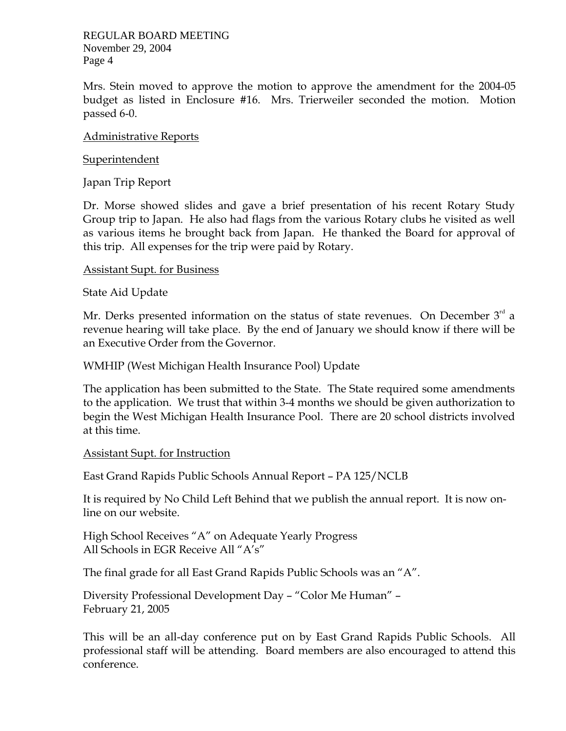Mrs. Stein moved to approve the motion to approve the amendment for the 2004-05 budget as listed in Enclosure #16. Mrs. Trierweiler seconded the motion. Motion passed 6-0.

## Administrative Reports

## Superintendent

Japan Trip Report

Dr. Morse showed slides and gave a brief presentation of his recent Rotary Study Group trip to Japan. He also had flags from the various Rotary clubs he visited as well as various items he brought back from Japan. He thanked the Board for approval of this trip. All expenses for the trip were paid by Rotary.

## Assistant Supt. for Business

State Aid Update

Mr. Derks presented information on the status of state revenues. On December  $3<sup>rd</sup>$  a revenue hearing will take place. By the end of January we should know if there will be an Executive Order from the Governor.

# WMHIP (West Michigan Health Insurance Pool) Update

The application has been submitted to the State. The State required some amendments to the application. We trust that within 3-4 months we should be given authorization to begin the West Michigan Health Insurance Pool. There are 20 school districts involved at this time.

## Assistant Supt. for Instruction

East Grand Rapids Public Schools Annual Report – PA 125/NCLB

It is required by No Child Left Behind that we publish the annual report. It is now online on our website.

High School Receives "A" on Adequate Yearly Progress All Schools in EGR Receive All "A's"

The final grade for all East Grand Rapids Public Schools was an "A".

Diversity Professional Development Day – "Color Me Human" – February 21, 2005

This will be an all-day conference put on by East Grand Rapids Public Schools. All professional staff will be attending. Board members are also encouraged to attend this conference.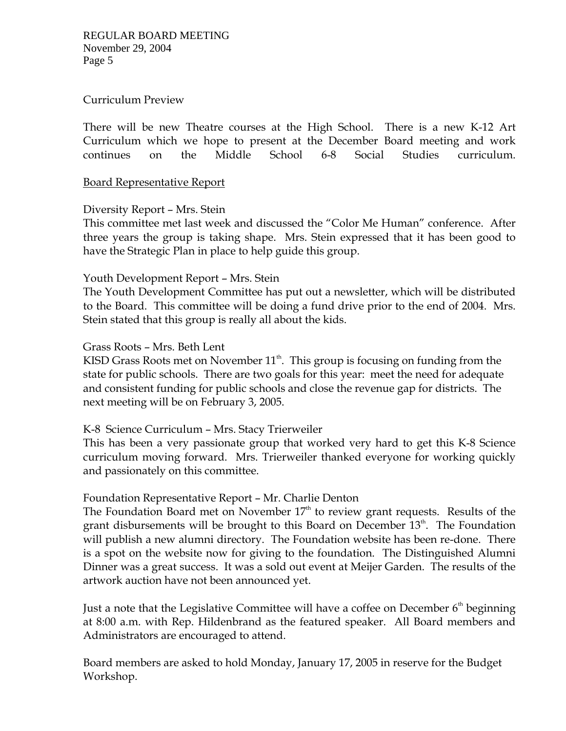## Curriculum Preview

There will be new Theatre courses at the High School. There is a new K-12 Art Curriculum which we hope to present at the December Board meeting and work continues on the Middle School 6-8 Social Studies curriculum.

#### Board Representative Report

#### Diversity Report – Mrs. Stein

This committee met last week and discussed the "Color Me Human" conference. After three years the group is taking shape. Mrs. Stein expressed that it has been good to have the Strategic Plan in place to help guide this group.

#### Youth Development Report – Mrs. Stein

The Youth Development Committee has put out a newsletter, which will be distributed to the Board. This committee will be doing a fund drive prior to the end of 2004. Mrs. Stein stated that this group is really all about the kids.

#### Grass Roots – Mrs. Beth Lent

KISD Grass Roots met on November  $11<sup>th</sup>$ . This group is focusing on funding from the state for public schools. There are two goals for this year: meet the need for adequate and consistent funding for public schools and close the revenue gap for districts. The next meeting will be on February 3, 2005.

## K-8 Science Curriculum – Mrs. Stacy Trierweiler

This has been a very passionate group that worked very hard to get this K-8 Science curriculum moving forward. Mrs. Trierweiler thanked everyone for working quickly and passionately on this committee.

## Foundation Representative Report – Mr. Charlie Denton

The Foundation Board met on November  $17<sup>th</sup>$  to review grant requests. Results of the grant disbursements will be brought to this Board on December 13<sup>th</sup>. The Foundation will publish a new alumni directory. The Foundation website has been re-done. There is a spot on the website now for giving to the foundation. The Distinguished Alumni Dinner was a great success. It was a sold out event at Meijer Garden. The results of the artwork auction have not been announced yet.

Just a note that the Legislative Committee will have a coffee on December  $6<sup>th</sup>$  beginning at 8:00 a.m. with Rep. Hildenbrand as the featured speaker. All Board members and Administrators are encouraged to attend.

Board members are asked to hold Monday, January 17, 2005 in reserve for the Budget Workshop.